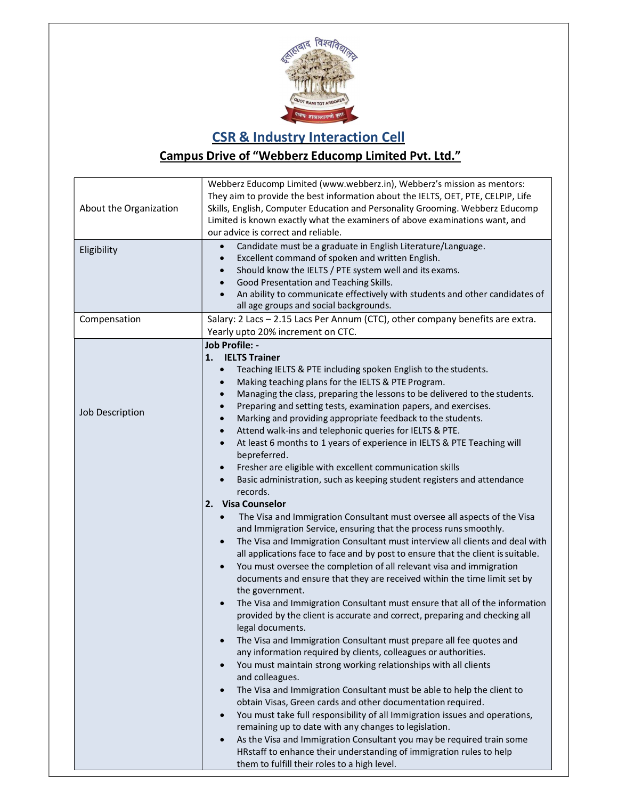

## CSR & Industry Interaction Cell

## Campus Drive of "Webberz Educomp Limited Pvt. Ltd."

| About the Organization | Webberz Educomp Limited (www.webberz.in), Webberz's mission as mentors:<br>They aim to provide the best information about the IELTS, OET, PTE, CELPIP, Life<br>Skills, English, Computer Education and Personality Grooming. Webberz Educomp<br>Limited is known exactly what the examiners of above examinations want, and<br>our advice is correct and reliable.                                                                                                                                                                                                                                                                                                                                                                                                                                                                                                                                                                                                                                                                                                                                                                                                                                                                                                                                                                                                                                                                                                                                                                                                                                                                                                                                                                                                                                                                                                                                                                                                                                                                                                                                                                                                                   |
|------------------------|--------------------------------------------------------------------------------------------------------------------------------------------------------------------------------------------------------------------------------------------------------------------------------------------------------------------------------------------------------------------------------------------------------------------------------------------------------------------------------------------------------------------------------------------------------------------------------------------------------------------------------------------------------------------------------------------------------------------------------------------------------------------------------------------------------------------------------------------------------------------------------------------------------------------------------------------------------------------------------------------------------------------------------------------------------------------------------------------------------------------------------------------------------------------------------------------------------------------------------------------------------------------------------------------------------------------------------------------------------------------------------------------------------------------------------------------------------------------------------------------------------------------------------------------------------------------------------------------------------------------------------------------------------------------------------------------------------------------------------------------------------------------------------------------------------------------------------------------------------------------------------------------------------------------------------------------------------------------------------------------------------------------------------------------------------------------------------------------------------------------------------------------------------------------------------------|
| Eligibility            | Candidate must be a graduate in English Literature/Language.<br>Excellent command of spoken and written English.<br>Should know the IELTS / PTE system well and its exams.<br>Good Presentation and Teaching Skills.<br>An ability to communicate effectively with students and other candidates of<br>all age groups and social backgrounds.                                                                                                                                                                                                                                                                                                                                                                                                                                                                                                                                                                                                                                                                                                                                                                                                                                                                                                                                                                                                                                                                                                                                                                                                                                                                                                                                                                                                                                                                                                                                                                                                                                                                                                                                                                                                                                        |
| Compensation           | Salary: 2 Lacs - 2.15 Lacs Per Annum (CTC), other company benefits are extra.<br>Yearly upto 20% increment on CTC.                                                                                                                                                                                                                                                                                                                                                                                                                                                                                                                                                                                                                                                                                                                                                                                                                                                                                                                                                                                                                                                                                                                                                                                                                                                                                                                                                                                                                                                                                                                                                                                                                                                                                                                                                                                                                                                                                                                                                                                                                                                                   |
| Job Description        | <b>Job Profile: -</b><br>1. <b>IELTS Trainer</b><br>Teaching IELTS & PTE including spoken English to the students.<br>$\bullet$<br>Making teaching plans for the IELTS & PTE Program.<br>Managing the class, preparing the lessons to be delivered to the students.<br>Preparing and setting tests, examination papers, and exercises.<br>Marking and providing appropriate feedback to the students.<br>$\bullet$<br>Attend walk-ins and telephonic queries for IELTS & PTE.<br>At least 6 months to 1 years of experience in IELTS & PTE Teaching will<br>bepreferred.<br>Fresher are eligible with excellent communication skills<br>Basic administration, such as keeping student registers and attendance<br>records.<br>2. Visa Counselor<br>The Visa and Immigration Consultant must oversee all aspects of the Visa<br>$\bullet$<br>and Immigration Service, ensuring that the process runs smoothly.<br>The Visa and Immigration Consultant must interview all clients and deal with<br>all applications face to face and by post to ensure that the client is suitable.<br>You must oversee the completion of all relevant visa and immigration<br>documents and ensure that they are received within the time limit set by<br>the government.<br>The Visa and Immigration Consultant must ensure that all of the information<br>provided by the client is accurate and correct, preparing and checking all<br>legal documents.<br>The Visa and Immigration Consultant must prepare all fee quotes and<br>any information required by clients, colleagues or authorities.<br>You must maintain strong working relationships with all clients<br>$\bullet$<br>and colleagues.<br>The Visa and Immigration Consultant must be able to help the client to<br>obtain Visas, Green cards and other documentation required.<br>You must take full responsibility of all Immigration issues and operations,<br>$\bullet$<br>remaining up to date with any changes to legislation.<br>As the Visa and Immigration Consultant you may be required train some<br>HRstaff to enhance their understanding of immigration rules to help<br>them to fulfill their roles to a high level. |